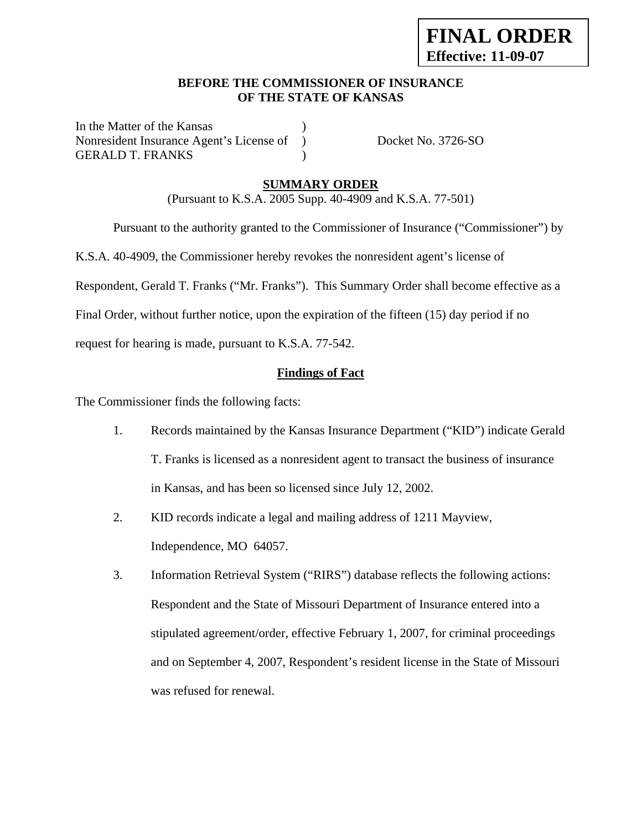## **BEFORE THE COMMISSIONER OF INSURANCE OF THE STATE OF KANSAS**

In the Matter of the Kansas Nonresident Insurance Agent's License of ) Docket No. 3726-SO GERALD T. FRANKS (1998)

## **SUMMARY ORDER**

(Pursuant to K.S.A. 2005 Supp. 40-4909 and K.S.A. 77-501)

Pursuant to the authority granted to the Commissioner of Insurance ("Commissioner") by

K.S.A. 40-4909, the Commissioner hereby revokes the nonresident agent's license of

Respondent, Gerald T. Franks ("Mr. Franks"). This Summary Order shall become effective as a

Final Order, without further notice, upon the expiration of the fifteen (15) day period if no

request for hearing is made, pursuant to K.S.A. 77-542.

### **Findings of Fact**

The Commissioner finds the following facts:

- 1. Records maintained by the Kansas Insurance Department ("KID") indicate Gerald T. Franks is licensed as a nonresident agent to transact the business of insurance in Kansas, and has been so licensed since July 12, 2002.
- 2. KID records indicate a legal and mailing address of 1211 Mayview, Independence, MO 64057.
- 3. Information Retrieval System ("RIRS") database reflects the following actions: Respondent and the State of Missouri Department of Insurance entered into a stipulated agreement/order, effective February 1, 2007, for criminal proceedings and on September 4, 2007, Respondent's resident license in the State of Missouri was refused for renewal.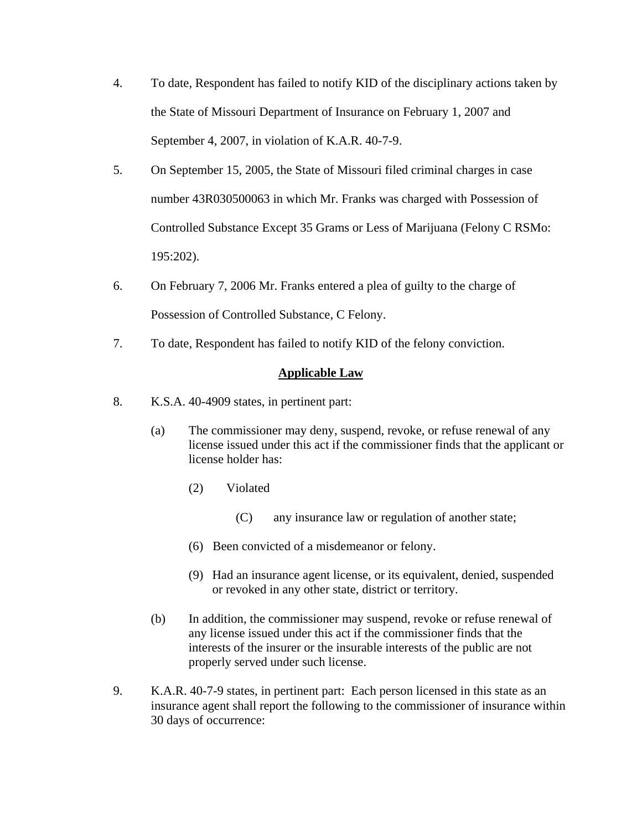- 4. To date, Respondent has failed to notify KID of the disciplinary actions taken by the State of Missouri Department of Insurance on February 1, 2007 and September 4, 2007, in violation of K.A.R. 40-7-9.
- 5. On September 15, 2005, the State of Missouri filed criminal charges in case number 43R030500063 in which Mr. Franks was charged with Possession of Controlled Substance Except 35 Grams or Less of Marijuana (Felony C RSMo: 195:202).
- 6. On February 7, 2006 Mr. Franks entered a plea of guilty to the charge of Possession of Controlled Substance, C Felony.
- 7. To date, Respondent has failed to notify KID of the felony conviction.

## **Applicable Law**

- 8. K.S.A. 40-4909 states, in pertinent part:
	- (a) The commissioner may deny, suspend, revoke, or refuse renewal of any license issued under this act if the commissioner finds that the applicant or license holder has:
		- (2) Violated
			- (C) any insurance law or regulation of another state;
		- (6) Been convicted of a misdemeanor or felony.
		- (9) Had an insurance agent license, or its equivalent, denied, suspended or revoked in any other state, district or territory.
	- (b) In addition, the commissioner may suspend, revoke or refuse renewal of any license issued under this act if the commissioner finds that the interests of the insurer or the insurable interests of the public are not properly served under such license.
- 9. K.A.R. 40-7-9 states, in pertinent part: Each person licensed in this state as an insurance agent shall report the following to the commissioner of insurance within 30 days of occurrence: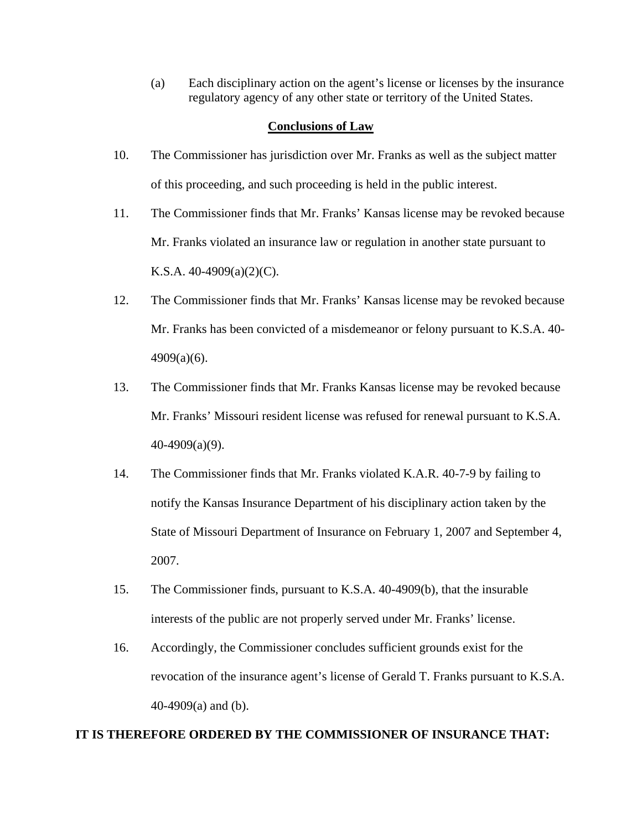(a) Each disciplinary action on the agent's license or licenses by the insurance regulatory agency of any other state or territory of the United States.

#### **Conclusions of Law**

- 10. The Commissioner has jurisdiction over Mr. Franks as well as the subject matter of this proceeding, and such proceeding is held in the public interest.
- 11. The Commissioner finds that Mr. Franks' Kansas license may be revoked because Mr. Franks violated an insurance law or regulation in another state pursuant to K.S.A.  $40-4909(a)(2)(C)$ .
- 12. The Commissioner finds that Mr. Franks' Kansas license may be revoked because Mr. Franks has been convicted of a misdemeanor or felony pursuant to K.S.A. 40- 4909(a)(6).
- 13. The Commissioner finds that Mr. Franks Kansas license may be revoked because Mr. Franks' Missouri resident license was refused for renewal pursuant to K.S.A. 40-4909(a)(9).
- 14. The Commissioner finds that Mr. Franks violated K.A.R. 40-7-9 by failing to notify the Kansas Insurance Department of his disciplinary action taken by the State of Missouri Department of Insurance on February 1, 2007 and September 4, 2007.
- 15. The Commissioner finds, pursuant to K.S.A. 40-4909(b), that the insurable interests of the public are not properly served under Mr. Franks' license.
- 16. Accordingly, the Commissioner concludes sufficient grounds exist for the revocation of the insurance agent's license of Gerald T. Franks pursuant to K.S.A. 40-4909(a) and (b).

#### **IT IS THEREFORE ORDERED BY THE COMMISSIONER OF INSURANCE THAT:**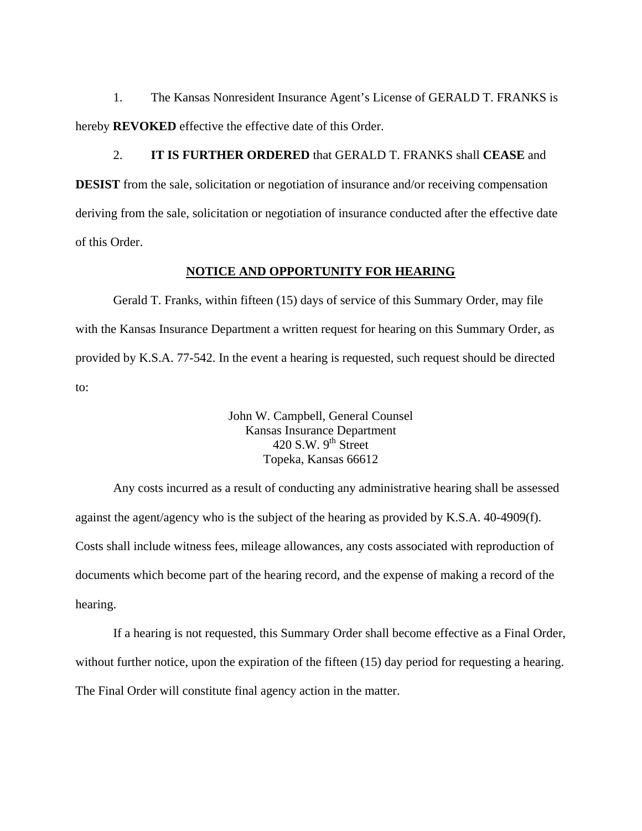1. The Kansas Nonresident Insurance Agent's License of GERALD T. FRANKS is hereby **REVOKED** effective the effective date of this Order.

2. **IT IS FURTHER ORDERED** that GERALD T. FRANKS shall **CEASE** and **DESIST** from the sale, solicitation or negotiation of insurance and/or receiving compensation deriving from the sale, solicitation or negotiation of insurance conducted after the effective date of this Order.

#### **NOTICE AND OPPORTUNITY FOR HEARING**

Gerald T. Franks, within fifteen (15) days of service of this Summary Order, may file with the Kansas Insurance Department a written request for hearing on this Summary Order, as provided by K.S.A. 77-542. In the event a hearing is requested, such request should be directed to:

> John W. Campbell, General Counsel Kansas Insurance Department 420 S.W.  $9<sup>th</sup>$  Street Topeka, Kansas 66612

Any costs incurred as a result of conducting any administrative hearing shall be assessed against the agent/agency who is the subject of the hearing as provided by K.S.A. 40-4909(f). Costs shall include witness fees, mileage allowances, any costs associated with reproduction of documents which become part of the hearing record, and the expense of making a record of the hearing.

If a hearing is not requested, this Summary Order shall become effective as a Final Order, without further notice, upon the expiration of the fifteen (15) day period for requesting a hearing. The Final Order will constitute final agency action in the matter.